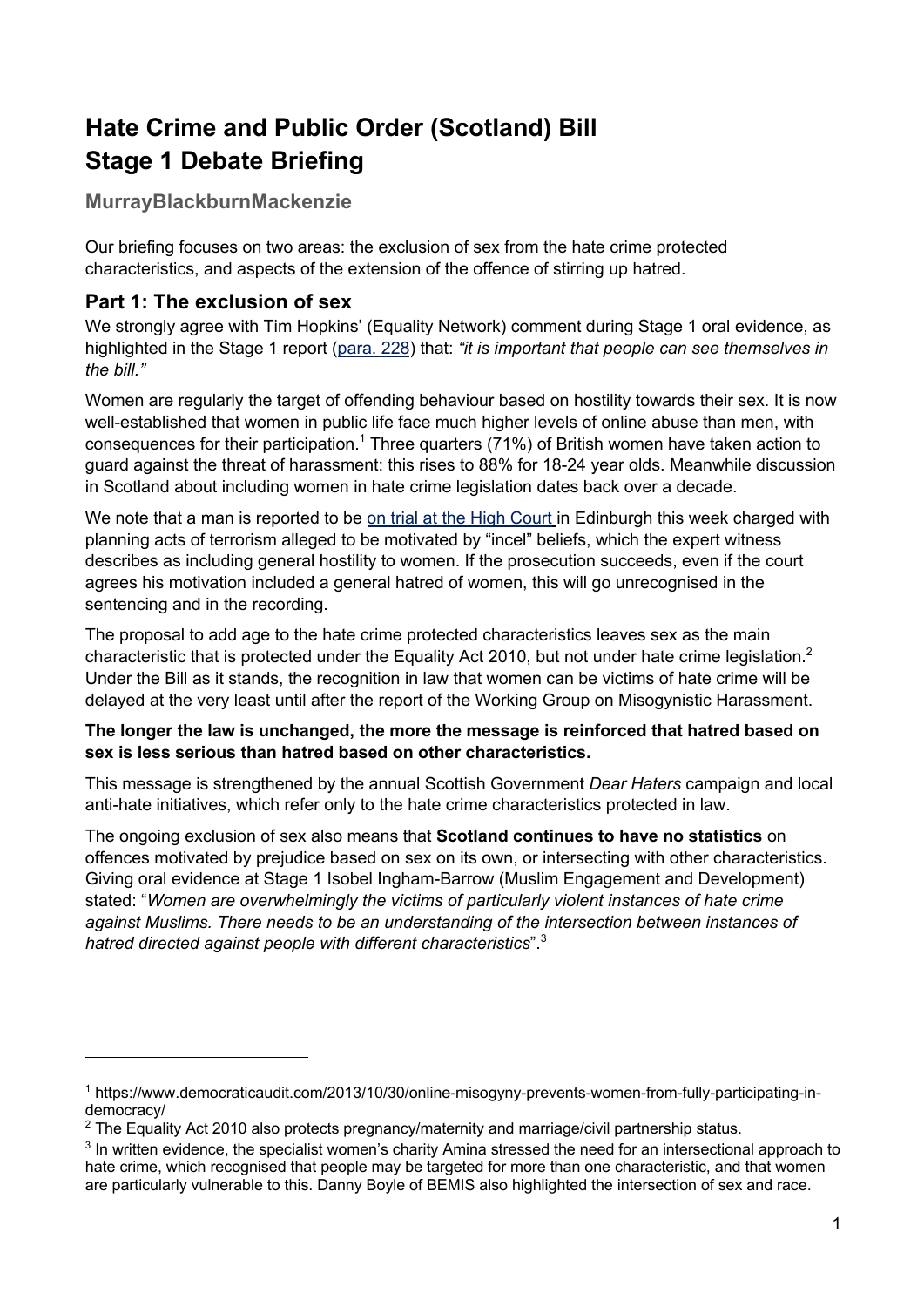# **Hate Crime and Public Order (Scotland) Bill Stage 1 Debate Briefing**

**MurrayBlackburnMackenzie**

Our briefing focuses on two areas: the exclusion of sex from the hate crime protected characteristics, and aspects of the extension of the offence of stirring up hatred.

## **Part 1: The exclusion of sex**

We strongly agree with Tim Hopkins' (Equality Network) comment during Stage 1 oral evidence, as highlighted in the Stage 1 report (para. 228) that: *"it is important that people can see themselves in the bill."* 

Women are regularly the target of offending behaviour based on hostility towards their sex. It is now well-established that women in public life face much higher levels of online abuse than men, with consequences for their participation.<sup>1</sup> Three quarters (71%) of British women have taken action to guard against the threat of harassment: this rises to 88% for 18-24 year olds. Meanwhile discussion in Scotland about including women in hate crime legislation dates back over a decade.

We note that a man is reported to be on trial at the High Court in Edinburgh this week charged with planning acts of terrorism alleged to be motivated by "incel" beliefs, which the expert witness describes as including general hostility to women. If the prosecution succeeds, even if the court agrees his motivation included a general hatred of women, this will go unrecognised in the sentencing and in the recording.

The proposal to add age to the hate crime protected characteristics leaves sex as the main characteristic that is protected under the Equality Act 2010, but not under hate crime legislation.<sup>2</sup> Under the Bill as it stands, the recognition in law that women can be victims of hate crime will be delayed at the very least until after the report of the Working Group on Misogynistic Harassment.

#### **The longer the law is unchanged, the more the message is reinforced that hatred based on sex is less serious than hatred based on other characteristics.**

This message is strengthened by the annual Scottish Government *Dear Haters* campaign and local anti-hate initiatives, which refer only to the hate crime characteristics protected in law.

The ongoing exclusion of sex also means that **Scotland continues to have no statistics** on offences motivated by prejudice based on sex on its own, or intersecting with other characteristics. Giving oral evidence at Stage 1 Isobel Ingham-Barrow (Muslim Engagement and Development) stated: "*Women are overwhelmingly the victims of particularly violent instances of hate crime against Muslims. There needs to be an understanding of the intersection between instances of hatred directed against people with different characteristics*". 3

<sup>1</sup> https://www.democraticaudit.com/2013/10/30/online-misogyny-prevents-women-from-fully-participating-indemocracy/

<sup>&</sup>lt;sup>2</sup> The Equality Act 2010 also protects pregnancy/maternity and marriage/civil partnership status.

<sup>3</sup> In written evidence, the specialist women's charity Amina stressed the need for an intersectional approach to hate crime, which recognised that people may be targeted for more than one characteristic, and that women are particularly vulnerable to this. Danny Boyle of BEMIS also highlighted the intersection of sex and race.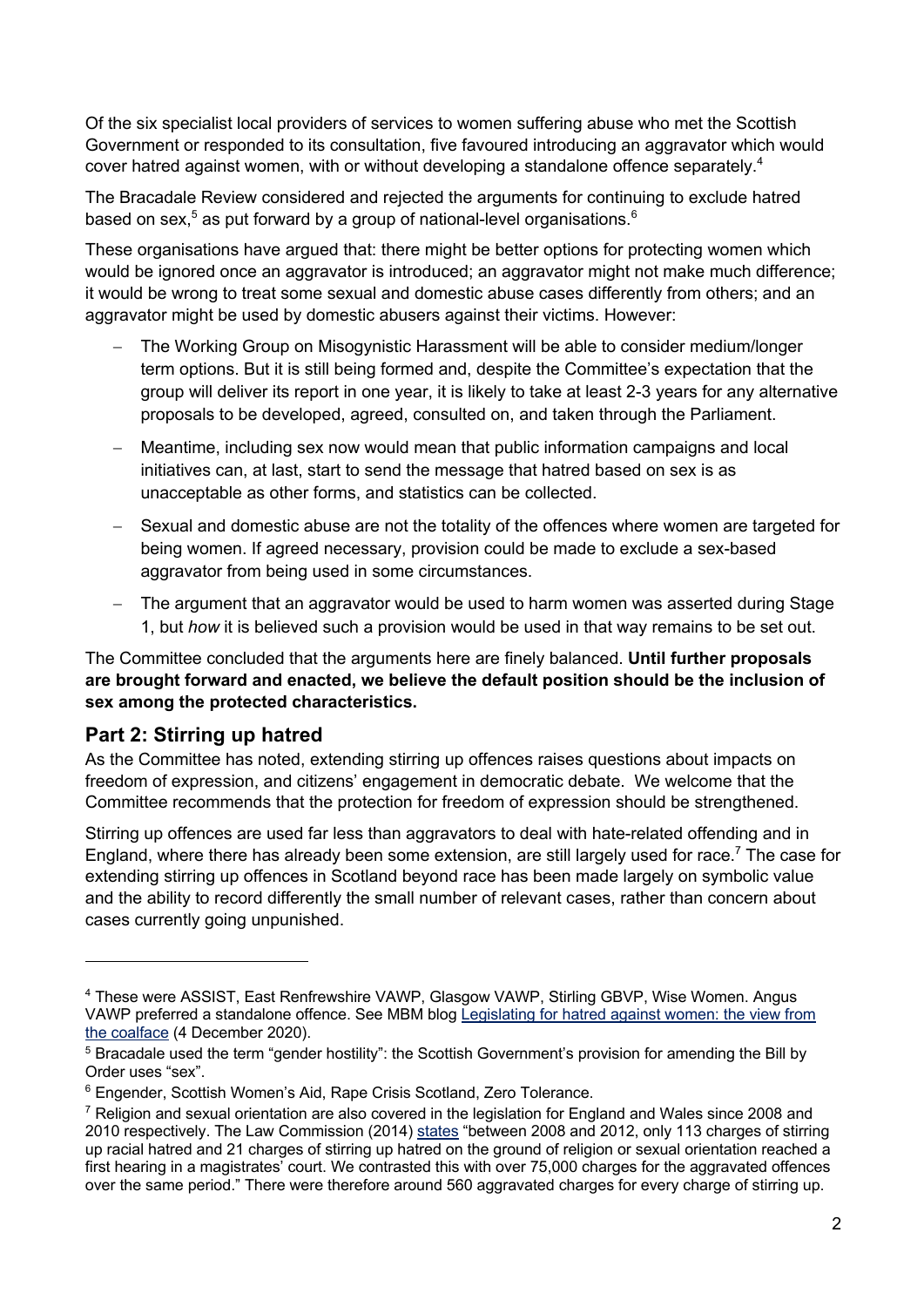Of the six specialist local providers of services to women suffering abuse who met the Scottish Government or responded to its consultation, five favoured introducing an aggravator which would cover hatred against women, with or without developing a standalone offence separately.<sup>4</sup>

The Bracadale Review considered and rejected the arguments for continuing to exclude hatred based on sex,<sup>5</sup> as put forward by a group of national-level organisations.<sup>6</sup>

These organisations have argued that: there might be better options for protecting women which would be ignored once an aggravator is introduced; an aggravator might not make much difference; it would be wrong to treat some sexual and domestic abuse cases differently from others; and an aggravator might be used by domestic abusers against their victims. However:

- The Working Group on Misogynistic Harassment will be able to consider medium/longer term options. But it is still being formed and, despite the Committee's expectation that the group will deliver its report in one year, it is likely to take at least 2-3 years for any alternative proposals to be developed, agreed, consulted on, and taken through the Parliament.
- Meantime, including sex now would mean that public information campaigns and local initiatives can, at last, start to send the message that hatred based on sex is as unacceptable as other forms, and statistics can be collected.
- Sexual and domestic abuse are not the totality of the offences where women are targeted for being women. If agreed necessary, provision could be made to exclude a sex-based aggravator from being used in some circumstances.
- The argument that an aggravator would be used to harm women was asserted during Stage 1, but *how* it is believed such a provision would be used in that way remains to be set out.

The Committee concluded that the arguments here are finely balanced. **Until further proposals are brought forward and enacted, we believe the default position should be the inclusion of sex among the protected characteristics.** 

## **Part 2: Stirring up hatred**

As the Committee has noted, extending stirring up offences raises questions about impacts on freedom of expression, and citizens' engagement in democratic debate. We welcome that the Committee recommends that the protection for freedom of expression should be strengthened.

Stirring up offences are used far less than aggravators to deal with hate-related offending and in England, where there has already been some extension, are still largely used for race.<sup>7</sup> The case for extending stirring up offences in Scotland beyond race has been made largely on symbolic value and the ability to record differently the small number of relevant cases, rather than concern about cases currently going unpunished.

<sup>4</sup> These were ASSIST, East Renfrewshire VAWP, Glasgow VAWP, Stirling GBVP, Wise Women. Angus VAWP preferred a standalone offence. See MBM blog Legislating for hatred against women: the view from the coalface (4 December 2020).

<sup>5</sup> Bracadale used the term "gender hostility": the Scottish Government's provision for amending the Bill by Order uses "sex".

<sup>&</sup>lt;sup>6</sup> Engender, Scottish Women's Aid, Rape Crisis Scotland, Zero Tolerance.

 $7$  Religion and sexual orientation are also covered in the legislation for England and Wales since 2008 and 2010 respectively. The Law Commission (2014) states "between 2008 and 2012, only 113 charges of stirring up racial hatred and 21 charges of stirring up hatred on the ground of religion or sexual orientation reached a first hearing in a magistrates' court. We contrasted this with over 75,000 charges for the aggravated offences over the same period." There were therefore around 560 aggravated charges for every charge of stirring up.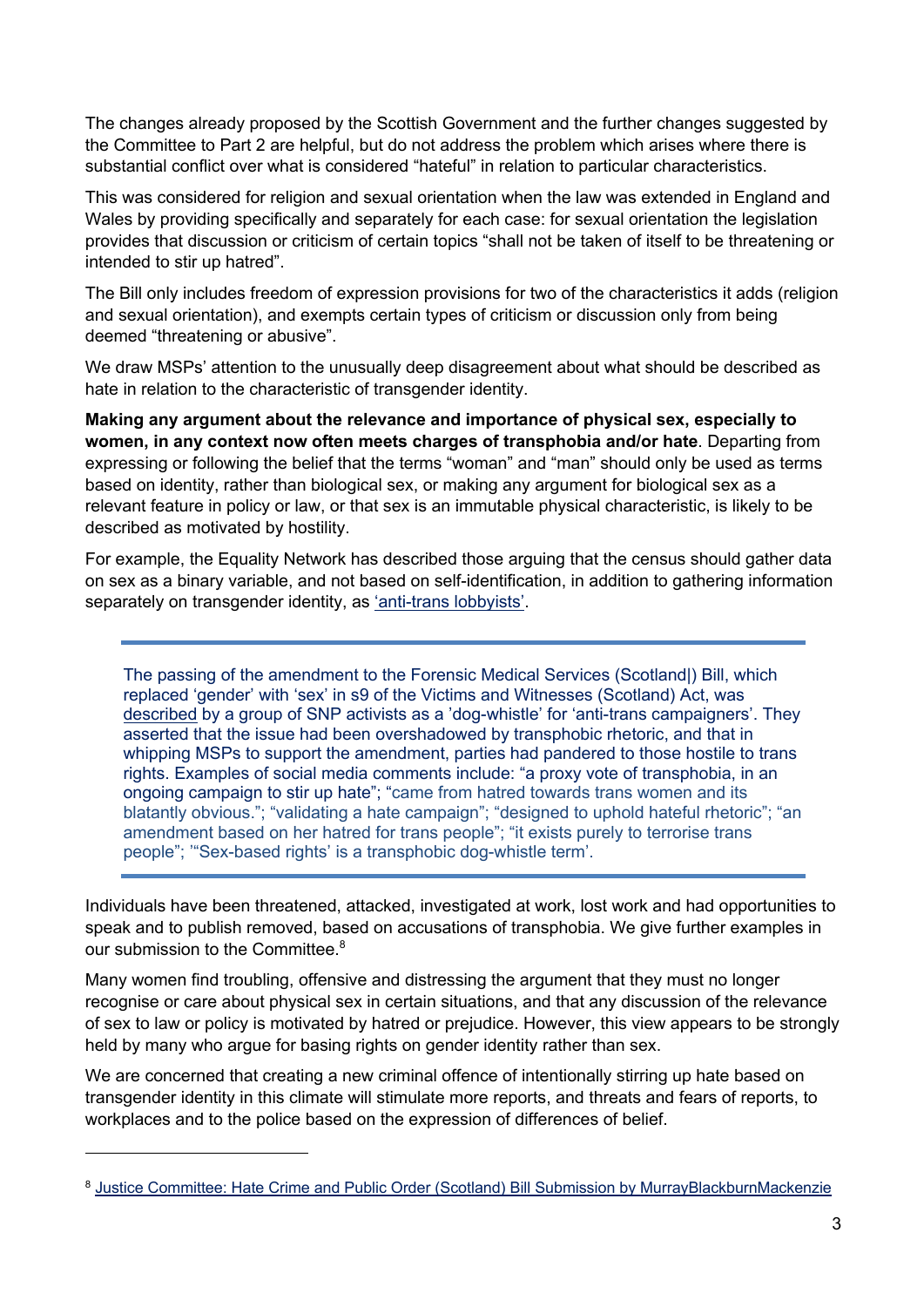The changes already proposed by the Scottish Government and the further changes suggested by the Committee to Part 2 are helpful, but do not address the problem which arises where there is substantial conflict over what is considered "hateful" in relation to particular characteristics.

This was considered for religion and sexual orientation when the law was extended in England and Wales by providing specifically and separately for each case: for sexual orientation the legislation provides that discussion or criticism of certain topics "shall not be taken of itself to be threatening or intended to stir up hatred".

The Bill only includes freedom of expression provisions for two of the characteristics it adds (religion and sexual orientation), and exempts certain types of criticism or discussion only from being deemed "threatening or abusive".

We draw MSPs' attention to the unusually deep disagreement about what should be described as hate in relation to the characteristic of transgender identity.

**Making any argument about the relevance and importance of physical sex, especially to women, in any context now often meets charges of transphobia and/or hate**. Departing from expressing or following the belief that the terms "woman" and "man" should only be used as terms based on identity, rather than biological sex, or making any argument for biological sex as a relevant feature in policy or law, or that sex is an immutable physical characteristic, is likely to be described as motivated by hostility.

For example, the Equality Network has described those arguing that the census should gather data on sex as a binary variable, and not based on self-identification, in addition to gathering information separately on transgender identity, as 'anti-trans lobbyists'.

The passing of the amendment to the Forensic Medical Services (Scotland|) Bill, which replaced 'gender' with 'sex' in s9 of the Victims and Witnesses (Scotland) Act, was described by a group of SNP activists as a 'dog-whistle' for 'anti-trans campaigners'. They asserted that the issue had been overshadowed by transphobic rhetoric, and that in whipping MSPs to support the amendment, parties had pandered to those hostile to trans rights. Examples of social media comments include: "a proxy vote of transphobia, in an ongoing campaign to stir up hate"; "came from hatred towards trans women and its blatantly obvious."; "validating a hate campaign"; "designed to uphold hateful rhetoric"; "an amendment based on her hatred for trans people"; "it exists purely to terrorise trans people"; '"Sex-based rights' is a transphobic dog-whistle term'.

Individuals have been threatened, attacked, investigated at work, lost work and had opportunities to speak and to publish removed, based on accusations of transphobia. We give further examples in our submission to the Committee.<sup>8</sup>

Many women find troubling, offensive and distressing the argument that they must no longer recognise or care about physical sex in certain situations, and that any discussion of the relevance of sex to law or policy is motivated by hatred or prejudice. However, this view appears to be strongly held by many who argue for basing rights on gender identity rather than sex.

We are concerned that creating a new criminal offence of intentionally stirring up hate based on transgender identity in this climate will stimulate more reports, and threats and fears of reports, to workplaces and to the police based on the expression of differences of belief.

<sup>8</sup> Justice Committee: Hate Crime and Public Order (Scotland) Bill Submission by MurrayBlackburnMackenzie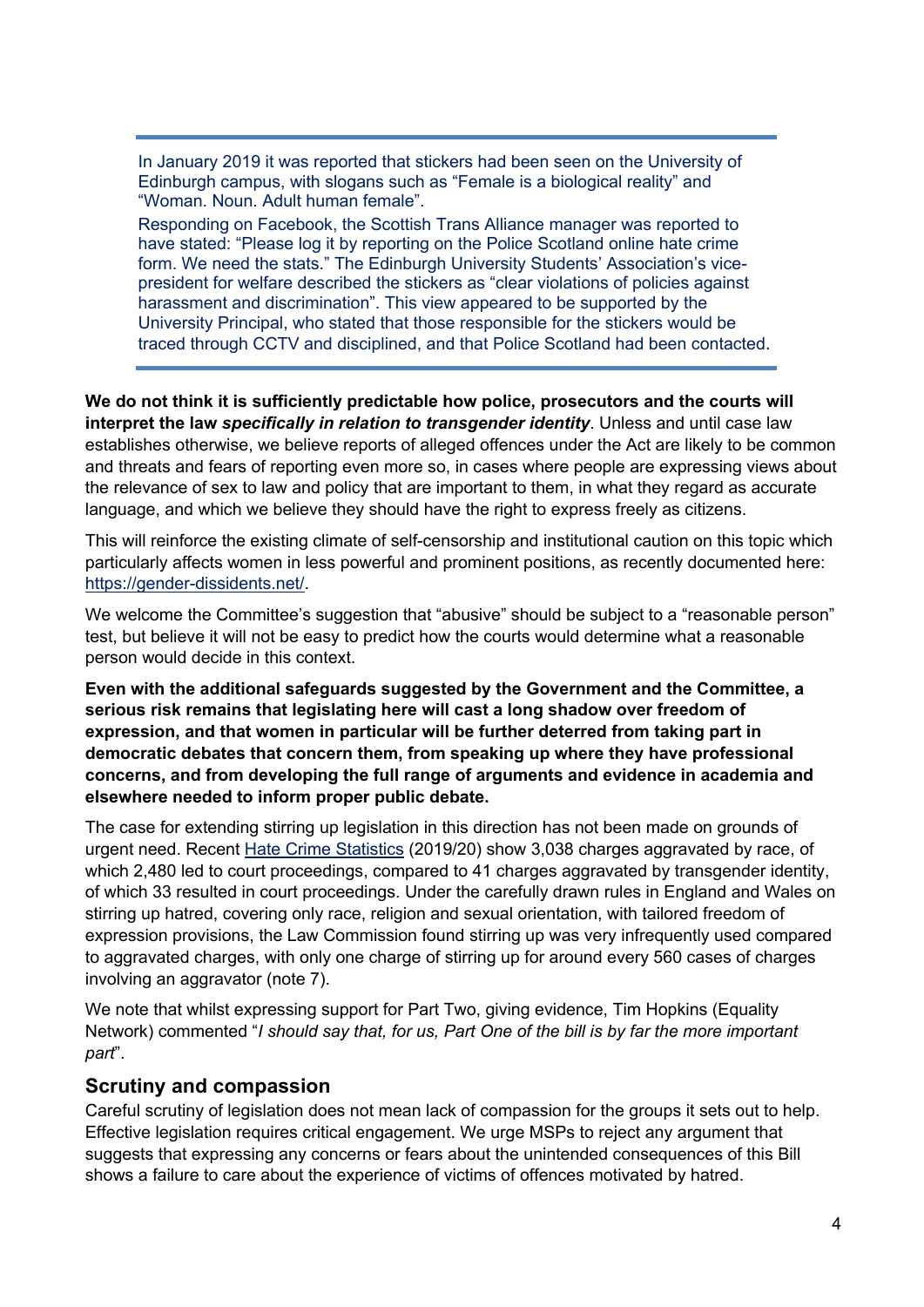In January 2019 it was reported that stickers had been seen on the University of Edinburgh campus, with slogans such as "Female is a biological reality" and "Woman. Noun. Adult human female".

Responding on Facebook, the Scottish Trans Alliance manager was reported to have stated: "Please log it by reporting on the Police Scotland online hate crime form. We need the stats." The Edinburgh University Students' Association's vicepresident for welfare described the stickers as "clear violations of policies against harassment and discrimination". This view appeared to be supported by the University Principal, who stated that those responsible for the stickers would be traced through CCTV and disciplined, and that Police Scotland had been contacted.

**We do not think it is sufficiently predictable how police, prosecutors and the courts will interpret the law** *specifically in relation to transgender identity*. Unless and until case law establishes otherwise, we believe reports of alleged offences under the Act are likely to be common and threats and fears of reporting even more so, in cases where people are expressing views about the relevance of sex to law and policy that are important to them, in what they regard as accurate language, and which we believe they should have the right to express freely as citizens.

This will reinforce the existing climate of self-censorship and institutional caution on this topic which particularly affects women in less powerful and prominent positions, as recently documented here: https://gender-dissidents.net/.

We welcome the Committee's suggestion that "abusive" should be subject to a "reasonable person" test, but believe it will not be easy to predict how the courts would determine what a reasonable person would decide in this context.

**Even with the additional safeguards suggested by the Government and the Committee, a serious risk remains that legislating here will cast a long shadow over freedom of expression, and that women in particular will be further deterred from taking part in democratic debates that concern them, from speaking up where they have professional concerns, and from developing the full range of arguments and evidence in academia and elsewhere needed to inform proper public debate.**

The case for extending stirring up legislation in this direction has not been made on grounds of urgent need. Recent Hate Crime Statistics (2019/20) show 3,038 charges aggravated by race, of which 2,480 led to court proceedings, compared to 41 charges aggravated by transgender identity, of which 33 resulted in court proceedings. Under the carefully drawn rules in England and Wales on stirring up hatred, covering only race, religion and sexual orientation, with tailored freedom of expression provisions, the Law Commission found stirring up was very infrequently used compared to aggravated charges, with only one charge of stirring up for around every 560 cases of charges involving an aggravator (note 7).

We note that whilst expressing support for Part Two, giving evidence, Tim Hopkins (Equality Network) commented "*I should say that, for us, Part One of the bill is by far the more important part*".

### **Scrutiny and compassion**

Careful scrutiny of legislation does not mean lack of compassion for the groups it sets out to help. Effective legislation requires critical engagement. We urge MSPs to reject any argument that suggests that expressing any concerns or fears about the unintended consequences of this Bill shows a failure to care about the experience of victims of offences motivated by hatred.